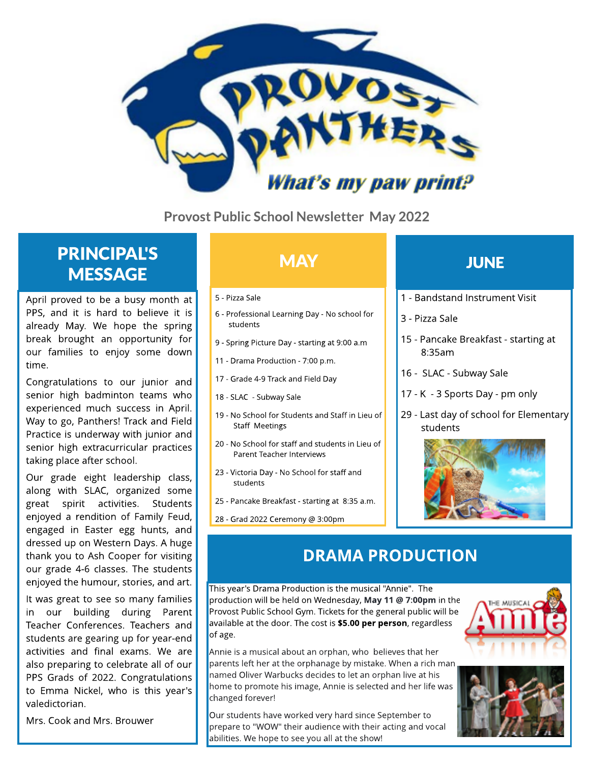

Provost Public School Newsletter May 2022

## **PRINCIPAL'S MESSAGE**

April proved to be a busy month at PPS, and it is hard to believe it is already May. We hope the spring break brought an opportunity for our families to enjoy some down time.

Congratulations to our junior and senior high badminton teams who experienced much success in April. Way to go, Panthers! Track and Field Practice is underway with junior and senior high extracurricular practices taking place after school.

Our grade eight leadership class, along with SLAC, organized some great spirit activities. Students enjoyed a rendition of Family Feud, engaged in Easter egg hunts, and dressed up on Western Days. A huge thank you to Ash Cooper for visiting our grade 4-6 classes. The students enjoyed the humour, stories, and art.

It was great to see so many families in our building during Parent Teacher Conferences. Teachers and students are gearing up for year-end activities and final exams. We are also preparing to celebrate all of our PPS Grads of 2022. Congratulations to Emma Nickel, who is this year's valedictorian.

Mrs. Cook and Mrs. Brouwer

- 5 Pizza Sale
- 6 Professional Learning Day No school for students
- 9 Spring Picture Day starting at 9:00 a.m
- 11 Drama Production 7:00 p.m.
- 17 Grade 4-9 Track and Field Day
- 18 SLAC Subway Sale
- 19 No School for Students and Staff in Lieu of Staff Meetings
- 20 No School for staff and students in Lieu of Parent Teacher Interviews
- 23 Victoria Day No School for staff and students
- 25 Pancake Breakfast starting at 8:35 a.m.
- 28 Grad 2022 Ceremony @3:00pm

### MAY **A CONTROLL TO A LIGHT DUNE**

- 1 Bandstand Instrument Visit
- 3 Pizza Sale
- 15 Pancake Breakfast starting at 8:35am
- 16 SLAC Subway Sale
- 17 K 3 Sports Day pm only
- 29 Last day of school for Elementary students



### DRAMA PRODUCTION

This year's Drama Production is the musical "Annie". The production will be held on Wednesday, May 11 @ 7:00pm in the Provost Public School Gym. Tickets for the general public will be available at the door. The cost is **\$5.00 per person**, regardless of age.

Annie is a musical about an orphan, who believes that her parents left her at the orphanage by mistake. When a rich man named Oliver Warbucks decides to let an orphan live at his home to promote his image, Annie is selected and her life was changed forever!

Our students have worked very hard since September to prepare to "WOW" their audience with their acting and vocal abilities. We hope to see you all at the show!